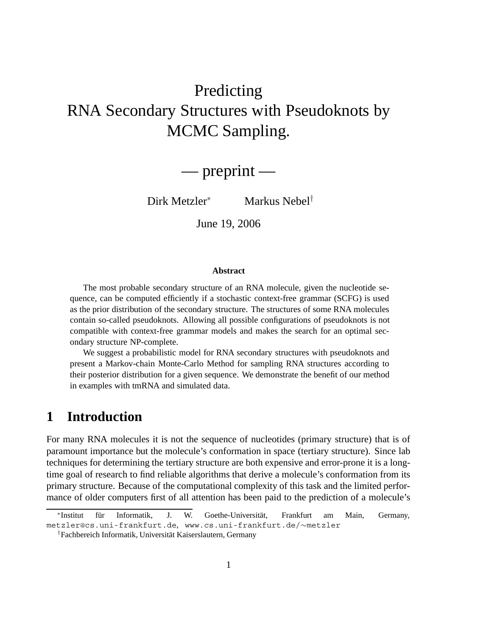# Predicting RNA Secondary Structures with Pseudoknots by MCMC Sampling.

# — preprint —

Dirk Metzler<sup>∗</sup> Markus Nebel†

June 19, 2006

#### **Abstract**

The most probable secondary structure of an RNA molecule, given the nucleotide sequence, can be computed efficiently if a stochastic context-free grammar (SCFG) is used as the prior distribution of the secondary structure. The structures of some RNA molecules contain so-called pseudoknots. Allowing all possible configurations of pseudoknots is not compatible with context-free grammar models and makes the search for an optimal secondary structure NP-complete.

We suggest a probabilistic model for RNA secondary structures with pseudoknots and present a Markov-chain Monte-Carlo Method for sampling RNA structures according to their posterior distribution for a given sequence. We demonstrate the benefit of our method in examples with tmRNA and simulated data.

# **1 Introduction**

For many RNA molecules it is not the sequence of nucleotides (primary structure) that is of paramount importance but the molecule's conformation in space (tertiary structure). Since lab techniques for determining the tertiary structure are both expensive and error-prone it is a longtime goal of research to find reliable algorithms that derive a molecule's conformation from its primary structure. Because of the computational complexity of this task and the limited performance of older computers first of all attention has been paid to the prediction of a molecule's

<sup>\*</sup>Institut für Informatik, J. W. Goethe-Universität, Frankfurt am Main, Germany, metzler@cs.uni-frankfurt.de, www.cs.uni-frankfurt.de/∼metzler

<sup>&</sup>lt;sup>†</sup>Fachbereich Informatik, Universität Kaiserslautern, Germany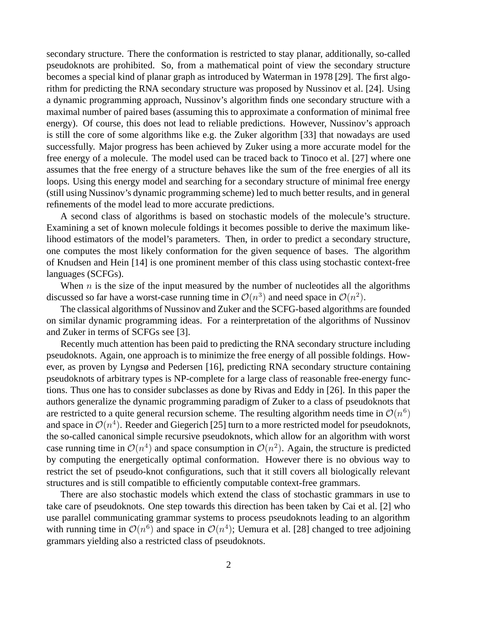secondary structure. There the conformation is restricted to stay planar, additionally, so-called pseudoknots are prohibited. So, from a mathematical point of view the secondary structure becomes a special kind of planar graph as introduced by Waterman in 1978 [29]. The first algorithm for predicting the RNA secondary structure was proposed by Nussinov et al. [24]. Using a dynamic programming approach, Nussinov's algorithm finds one secondary structure with a maximal number of paired bases (assuming this to approximate a conformation of minimal free energy). Of course, this does not lead to reliable predictions. However, Nussinov's approach is still the core of some algorithms like e.g. the Zuker algorithm [33] that nowadays are used successfully. Major progress has been achieved by Zuker using a more accurate model for the free energy of a molecule. The model used can be traced back to Tinoco et al. [27] where one assumes that the free energy of a structure behaves like the sum of the free energies of all its loops. Using this energy model and searching for a secondary structure of minimal free energy (still using Nussinov's dynamic programming scheme) led to much better results, and in general refinements of the model lead to more accurate predictions.

A second class of algorithms is based on stochastic models of the molecule's structure. Examining a set of known molecule foldings it becomes possible to derive the maximum likelihood estimators of the model's parameters. Then, in order to predict a secondary structure, one computes the most likely conformation for the given sequence of bases. The algorithm of Knudsen and Hein [14] is one prominent member of this class using stochastic context-free languages (SCFGs).

When  $n$  is the size of the input measured by the number of nucleotides all the algorithms discussed so far have a worst-case running time in  $\mathcal{O}(n^3)$  and need space in  $\mathcal{O}(n^2)$ .

The classical algorithms of Nussinov and Zuker and the SCFG-based algorithms are founded on similar dynamic programming ideas. For a reinterpretation of the algorithms of Nussinov and Zuker in terms of SCFGs see [3].

Recently much attention has been paid to predicting the RNA secondary structure including pseudoknots. Again, one approach is to minimize the free energy of all possible foldings. However, as proven by Lyngsø and Pedersen [16], predicting RNA secondary structure containing pseudoknots of arbitrary types is NP-complete for a large class of reasonable free-energy functions. Thus one has to consider subclasses as done by Rivas and Eddy in [26]. In this paper the authors generalize the dynamic programming paradigm of Zuker to a class of pseudoknots that are restricted to a quite general recursion scheme. The resulting algorithm needs time in  $\mathcal{O}(n^6)$ and space in  $\mathcal{O}(n^4)$ . Reeder and Giegerich [25] turn to a more restricted model for pseudoknots, the so-called canonical simple recursive pseudoknots, which allow for an algorithm with worst case running time in  $\mathcal{O}(n^4)$  and space consumption in  $\mathcal{O}(n^2)$ . Again, the structure is predicted by computing the energetically optimal conformation. However there is no obvious way to restrict the set of pseudo-knot configurations, such that it still covers all biologically relevant structures and is still compatible to efficiently computable context-free grammars.

There are also stochastic models which extend the class of stochastic grammars in use to take care of pseudoknots. One step towards this direction has been taken by Cai et al. [2] who use parallel communicating grammar systems to process pseudoknots leading to an algorithm with running time in  $\mathcal{O}(n^6)$  and space in  $\mathcal{O}(n^4)$ ; Uemura et al. [28] changed to tree adjoining grammars yielding also a restricted class of pseudoknots.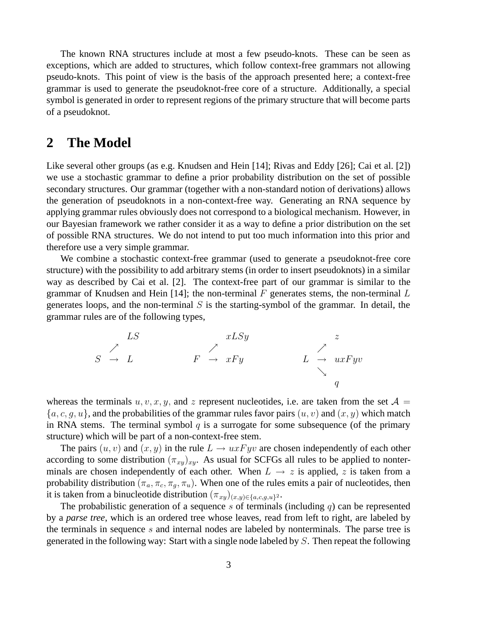The known RNA structures include at most a few pseudo-knots. These can be seen as exceptions, which are added to structures, which follow context-free grammars not allowing pseudo-knots. This point of view is the basis of the approach presented here; a context-free grammar is used to generate the pseudoknot-free core of a structure. Additionally, a special symbol is generated in order to represent regions of the primary structure that will become parts of a pseudoknot.

## **2 The Model**

Like several other groups (as e.g. Knudsen and Hein [14]; Rivas and Eddy [26]; Cai et al. [2]) we use a stochastic grammar to define a prior probability distribution on the set of possible secondary structures. Our grammar (together with a non-standard notion of derivations) allows the generation of pseudoknots in a non-context-free way. Generating an RNA sequence by applying grammar rules obviously does not correspond to a biological mechanism. However, in our Bayesian framework we rather consider it as a way to define a prior distribution on the set of possible RNA structures. We do not intend to put too much information into this prior and therefore use a very simple grammar.

We combine a stochastic context-free grammar (used to generate a pseudoknot-free core structure) with the possibility to add arbitrary stems (in order to insert pseudoknots) in a similar way as described by Cai et al. [2]. The context-free part of our grammar is similar to the grammar of Knudsen and Hein [14]; the non-terminal  $F$  generates stems, the non-terminal  $L$ generates loops, and the non-terminal  $S$  is the starting-symbol of the grammar. In detail, the grammar rules are of the following types,

LS xLSy z S <sup>→</sup> L F <sup>→</sup> xF y L <sup>→</sup> uxF yv q

whereas the terminals  $u, v, x, y$ , and z represent nucleotides, i.e. are taken from the set  $A =$  ${a, c, g, u}$ , and the probabilities of the grammar rules favor pairs  $(u, v)$  and  $(x, y)$  which match in RNA stems. The terminal symbol  $q$  is a surrogate for some subsequence (of the primary structure) which will be part of a non-context-free stem.

The pairs  $(u, v)$  and  $(x, y)$  in the rule  $L \rightarrow uxFyv$  are chosen independently of each other according to some distribution  $(\pi_{xy})_{xy}$ . As usual for SCFGs all rules to be applied to nonterminals are chosen independently of each other. When  $L \rightarrow z$  is applied, z is taken from a probability distribution  $(\pi_a, \pi_c, \pi_q, \pi_u)$ . When one of the rules emits a pair of nucleotides, then it is taken from a binucleotide distribution  $(\pi_{xy})_{(x,y)\in\{a,c,g,u\}^2}$ .

The probabilistic generation of a sequence s of terminals (including  $q$ ) can be represented by a *parse tree*, which is an ordered tree whose leaves, read from left to right, are labeled by the terminals in sequence s and internal nodes are labeled by nonterminals. The parse tree is generated in the following way: Start with a single node labeled by S. Then repeat the following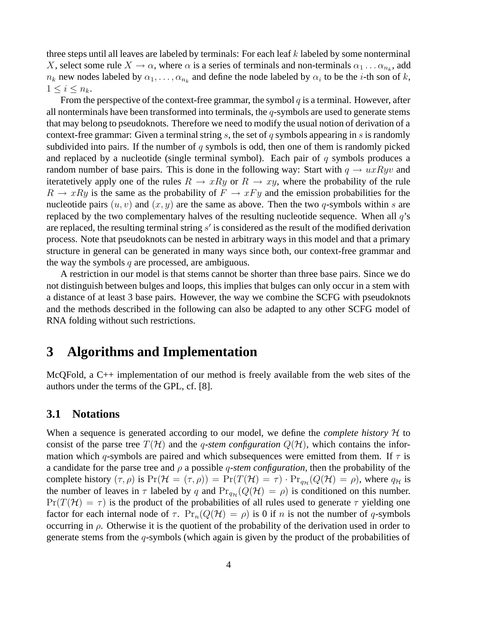three steps until all leaves are labeled by terminals: For each leaf  $k$  labeled by some nonterminal X, select some rule  $X \to \alpha$ , where  $\alpha$  is a series of terminals and non-terminals  $\alpha_1 \dots \alpha_{n_k}$ , add  $n_k$  new nodes labeled by  $\alpha_1, \ldots, \alpha_{n_k}$  and define the node labeled by  $\alpha_i$  to be the *i*-th son of *k*,  $1 \leq i \leq n_k$ .

From the perspective of the context-free grammar, the symbol  $q$  is a terminal. However, after all nonterminals have been transformed into terminals, the  $q$ -symbols are used to generate stems that may belong to pseudoknots. Therefore we need to modify the usual notion of derivation of a context-free grammar: Given a terminal string s, the set of q symbols appearing in s is randomly subdivided into pairs. If the number of  $q$  symbols is odd, then one of them is randomly picked and replaced by a nucleotide (single terminal symbol). Each pair of  $q$  symbols produces a random number of base pairs. This is done in the following way: Start with  $q \to u x R y v$  and iteratetively apply one of the rules  $R \to xRy$  or  $R \to xy$ , where the probability of the rule  $R \to xRy$  is the same as the probability of  $F \to xFy$  and the emission probabilities for the nucleotide pairs  $(u, v)$  and  $(x, y)$  are the same as above. Then the two q-symbols within s are replaced by the two complementary halves of the resulting nucleotide sequence. When all  $q$ 's are replaced, the resulting terminal string  $s'$  is considered as the result of the modified derivation process. Note that pseudoknots can be nested in arbitrary ways in this model and that a primary structure in general can be generated in many ways since both, our context-free grammar and the way the symbols  $q$  are processed, are ambiguous.

A restriction in our model is that stems cannot be shorter than three base pairs. Since we do not distinguish between bulges and loops, this implies that bulges can only occur in a stem with a distance of at least 3 base pairs. However, the way we combine the SCFG with pseudoknots and the methods described in the following can also be adapted to any other SCFG model of RNA folding without such restrictions.

# **3 Algorithms and Implementation**

McQFold, a C++ implementation of our method is freely available from the web sites of the authors under the terms of the GPL, cf. [8].

### **3.1 Notations**

When a sequence is generated according to our model, we define the *complete history*  $H$  to consist of the parse tree  $T(\mathcal{H})$  and the *q-stem configuration*  $Q(\mathcal{H})$ , which contains the information which q-symbols are paired and which subsequences were emitted from them. If  $\tau$  is a candidate for the parse tree and ρ a possible q*-stem configuration*, then the probability of the complete history  $(\tau, \rho)$  is  $Pr(\mathcal{H} = (\tau, \rho)) = Pr(T(\mathcal{H}) = \tau) \cdot Pr_{q_{\mathcal{H}}}(Q(\mathcal{H}) = \rho)$ , where  $q_{\mathcal{H}}$  is the number of leaves in  $\tau$  labeled by q and  $Pr_{q_{\mathcal{H}}}(Q(\mathcal{H}) = \rho)$  is conditioned on this number.  $Pr(T(\mathcal{H}) = \tau)$  is the product of the probabilities of all rules used to generate  $\tau$  yielding one factor for each internal node of  $\tau$ .  $Pr_n(Q(\mathcal{H}) = \rho)$  is 0 if n is not the number of q-symbols occurring in  $\rho$ . Otherwise it is the quotient of the probability of the derivation used in order to generate stems from the q-symbols (which again is given by the product of the probabilities of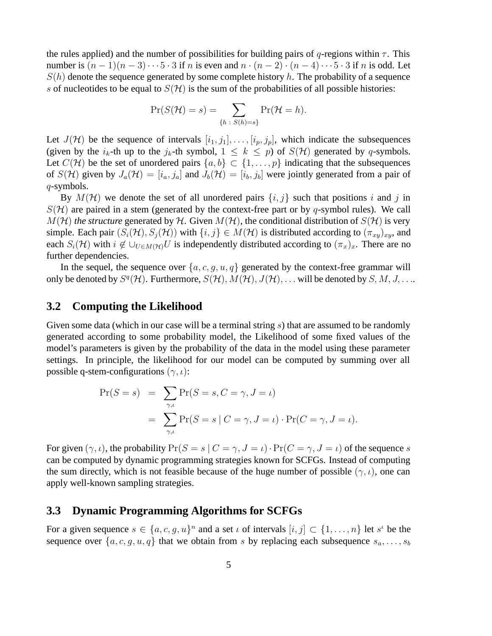the rules applied) and the number of possibilities for building pairs of  $q$ -regions within  $\tau$ . This number is  $(n-1)(n-3)\cdots 5\cdot 3$  if n is even and  $n\cdot (n-2)\cdot (n-4)\cdots 5\cdot 3$  if n is odd. Let  $S(h)$  denote the sequence generated by some complete history h. The probability of a sequence s of nucleotides to be equal to  $S(\mathcal{H})$  is the sum of the probabilities of all possible histories:

$$
\Pr(S(\mathcal{H})=s)=\sum_{\{h\;:\;S(h)=s\}}\Pr(\mathcal{H}=h).
$$

Let  $J(\mathcal{H})$  be the sequence of intervals  $[i_1, j_1], \ldots, [i_p, j_p]$ , which indicate the subsequences (given by the  $i_k$ -th up to the  $j_k$ -th symbol,  $1 \leq k \leq p$ ) of  $S(\mathcal{H})$  generated by q-symbols. Let  $C(\mathcal{H})$  be the set of unordered pairs  $\{a, b\} \subset \{1, \ldots, p\}$  indicating that the subsequences of  $S(\mathcal{H})$  given by  $J_a(\mathcal{H})=[i_a, j_a]$  and  $J_b(\mathcal{H})=[i_b, j_b]$  were jointly generated from a pair of q-symbols.

By  $M(\mathcal{H})$  we denote the set of all unordered pairs  $\{i, j\}$  such that positions i and j in  $S(\mathcal{H})$  are paired in a stem (generated by the context-free part or by q-symbol rules). We call  $M(\mathcal{H})$  *the structure* generated by H. Given  $M(\mathcal{H})$ , the conditional distribution of  $S(\mathcal{H})$  is very simple. Each pair  $(S_i(\mathcal{H}), S_j(\mathcal{H}))$  with  $\{i, j\} \in M(\mathcal{H})$  is distributed according to  $(\pi_{xy})_{xy}$ , and each  $S_i(\mathcal{H})$  with  $i \notin \bigcup_{U \in M(\mathcal{H})} U$  is independently distributed according to  $(\pi_x)_x$ . There are no further dependencies further dependencies.

In the sequel, the sequence over  $\{a, c, g, u, q\}$  generated by the context-free grammar will only be denoted by  $S^q(\mathcal{H})$ . Furthermore,  $S(\mathcal{H})$ ,  $M(\mathcal{H})$ ,  $J(\mathcal{H})$ ,... will be denoted by  $S, M, J, \ldots$ .

### **3.2 Computing the Likelihood**

Given some data (which in our case will be a terminal string s) that are assumed to be randomly generated according to some probability model, the Likelihood of some fixed values of the model's parameters is given by the probability of the data in the model using these parameter settings. In principle, the likelihood for our model can be computed by summing over all possible q-stem-configurations ( $\gamma$ , *i*):

$$
\Pr(S = s) = \sum_{\gamma,\iota} \Pr(S = s, C = \gamma, J = \iota)
$$

$$
= \sum_{\gamma,\iota} \Pr(S = s \mid C = \gamma, J = \iota) \cdot \Pr(C = \gamma, J = \iota).
$$

For given  $(\gamma, \iota)$ , the probability  $Pr(S = s | C = \gamma, J = \iota) \cdot Pr(C = \gamma, J = \iota)$  of the sequence s can be computed by dynamic programming strategies known for SCFGs. Instead of computing the sum directly, which is not feasible because of the huge number of possible  $(\gamma, \iota)$ , one can apply well-known sampling strategies.

#### **3.3 Dynamic Programming Algorithms for SCFGs**

For a given sequence  $s \in \{a, c, g, u\}^n$  and a set  $\iota$  of intervals  $[i, j] \subset \{1, ..., n\}$  let  $s^{\iota}$  be the sequence over  $\{a, c, g, u, q\}$  that we obtain from s by replacing each subsequence  $s_a, \ldots, s_b$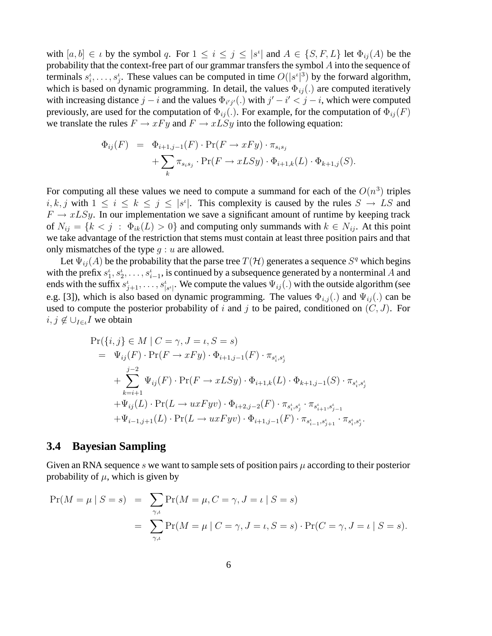with  $[a, b] \in \iota$  by the symbol q. For  $1 \leq i \leq j \leq |s^i|$  and  $A \in \{S, F, L\}$  let  $\Phi_{ij}(A)$  be the probability that the context-free part of our grammar transfers the symbol A into the sequence of probability that the context-free part of our grammar transfers the symbol A into the sequence of terminals  $s_i^i, \ldots, s_j^i$ . These values can be computed in time  $O(|s^i|^3)$  by the forward algorithm,<br>which is based on dynamic programming. In detail, the values  $\Phi_{i,j}(\cdot)$  are computed iteratively  $i_1,\ldots,s_j$ <br>used on a which is based on dynamic programming. In detail, the values  $\Phi_{ij}$  (.) are computed iteratively<br>with increasing distance  $i - i$  and the values  $\Phi_{i,j}$  (.) with  $i' - i' < i - i$  which were computed with increasing distance  $j - i$  and the values  $\Phi_{i'j'}(.)$  with  $j' - i' < j - i$ , which were computed<br>previously are used for the computation of  $\Phi_{i'}(.)$ . For example, for the computation of  $\Phi_{i'}(F)$ previously, are used for the computation of  $\Phi_{ij}$ . For example, for the computation of  $\Phi_{ij}(F)$ we translate the rules  $F \to xF y$  and  $F \to xL Sy$  into the following equation:

$$
\Phi_{ij}(F) = \Phi_{i+1,j-1}(F) \cdot \Pr(F \to xFy) \cdot \pi_{s_i s_j} + \sum_{k} \pi_{s_i s_j} \cdot \Pr(F \to xLSy) \cdot \Phi_{i+1,k}(L) \cdot \Phi_{k+1,j}(S).
$$

For computing all these values we need to compute a summand for each of the  $O(n^3)$  triples  $i, k, j$  with  $1 \le i \le k \le j \le |s^i|$ . This complexity is caused by the rules  $S \to LS$  and  $F \to rLSu$ . In our implementation we save a significant amount of runtime by keeping track  $F \to x L S y$ . In our implementation we save a significant amount of runtime by keeping track of  $N_{ij} = \{k < j : \Phi_{ik}(L) > 0\}$  and computing only summands with  $k \in N_{ij}$ . At this point we take advantage of the restriction that stems must contain at least three position pairs and that only mismatches of the type  $q : u$  are allowed.

Let  $\Psi_{ii}(A)$  be the probability that the parse tree  $T(\mathcal{H})$  generates a sequence  $S^q$  which begins with the prefix  $s_1^t, s_2^t, \ldots, s_{i-1}^t$ , is continued by a subsequence generated by a nonterminal A and<br>ends with the suffix  $s_t^t$  We compute the values  $\Psi(t)$  with the outside algorithm (see  $\frac{1}{1}, \frac{S_2}{\cdots}, \frac{S_i}{s}$ ffix  $s^t$ ends with the suffix  $s_{j+1}^t, \ldots, s_{|s^t|}^t$ . We compute the values  $\Psi_{ij}(\cdot)$  with the outside algorithm (see e.g. [3]), which is also based on dynamic programming. The values  $\Phi_{i,j}$  (.) and  $\Psi_{ij}$  (.) can be used to compute the posterior probability of i and j to be paired, conditioned on  $(C, J)$ . For  $i, j \notin \bigcup_{I \in \iota} I$  we obtain

$$
\Pr(\{i, j\} \in M \mid C = \gamma, J = \iota, S = s)
$$
\n
$$
= \Psi_{ij}(F) \cdot \Pr(F \to xFy) \cdot \Phi_{i+1,j-1}(F) \cdot \pi_{s_i^{\iota}, s_j^{\iota}}
$$
\n
$$
+ \sum_{k=i+1}^{j-2} \Psi_{ij}(F) \cdot \Pr(F \to xLSy) \cdot \Phi_{i+1,k}(L) \cdot \Phi_{k+1,j-1}(S) \cdot \pi_{s_i^{\iota}, s_j^{\iota}}
$$
\n
$$
+ \Psi_{ij}(L) \cdot \Pr(L \to uxFyv) \cdot \Phi_{i+2,j-2}(F) \cdot \pi_{s_i^{\iota}, s_j^{\iota}} \cdot \pi_{s_{i+1}^{\iota}, s_{j-1}^{\iota}}
$$
\n
$$
+ \Psi_{i-1,j+1}(L) \cdot \Pr(L \to uxFyv) \cdot \Phi_{i+1,j-1}(F) \cdot \pi_{s_{i-1}^{\iota}, s_{j+1}^{\iota}} \cdot \pi_{s_i^{\iota}, s_j^{\iota}}.
$$

### **3.4 Bayesian Sampling**

Given an RNA sequence s we want to sample sets of position pairs  $\mu$  according to their posterior probability of  $\mu$ , which is given by

$$
\Pr(M = \mu \mid S = s) = \sum_{\gamma,\iota} \Pr(M = \mu, C = \gamma, J = \iota \mid S = s)
$$
  
= 
$$
\sum_{\gamma,\iota} \Pr(M = \mu \mid C = \gamma, J = \iota, S = s) \cdot \Pr(C = \gamma, J = \iota \mid S = s).
$$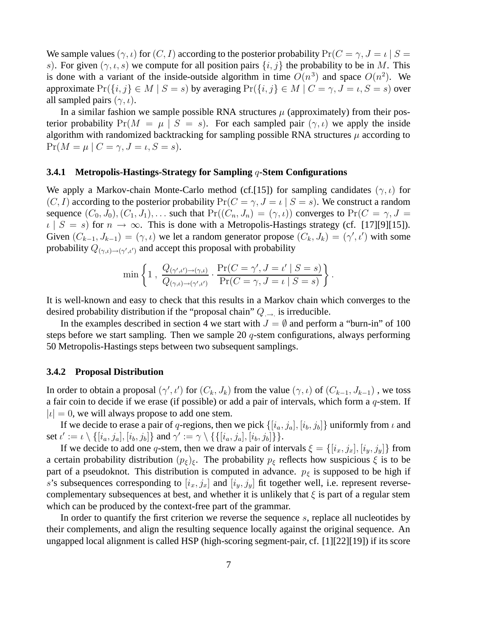We sample values  $(\gamma, \iota)$  for  $(C, I)$  according to the posterior probability  $Pr(C = \gamma, J = \iota \mid S =$ s). For given  $(\gamma, \iota, s)$  we compute for all position pairs  $\{i, j\}$  the probability to be in M. This is done with a variant of the inside-outside algorithm in time  $O(n^3)$  and space  $O(n^2)$ . We approximate  $Pr({i, j} \in M | S = s)$  by averaging  $Pr({i, j} \in M | C = \gamma, J = \iota, S = s)$  over all sampled pairs  $(\gamma, \iota)$ .

In a similar fashion we sample possible RNA structures  $\mu$  (approximately) from their posterior probability  $Pr(M = \mu | S = s)$ . For each sampled pair  $(\gamma, \iota)$  we apply the inside algorithm with randomized backtracking for sampling possible RNA structures  $\mu$  according to  $Pr(M = \mu \mid C = \gamma, J = \iota, S = s).$ 

#### **3.4.1 Metropolis-Hastings-Strategy for Sampling** q**-Stem Configurations**

We apply a Markov-chain Monte-Carlo method (cf.[15]) for sampling candidates ( $\gamma$ ,  $\iota$ ) for  $(C, I)$  according to the posterior probability  $Pr(C = \gamma, J = \iota | S = s)$ . We construct a random sequence  $(C_0, J_0), (C_1, J_1), \ldots$  such that  $Pr((C_n, J_n)=(\gamma, \iota))$  converges to  $Pr(C = \gamma, J =$  $\iota | S = s$  for  $n \to \infty$ . This is done with a Metropolis-Hastings strategy (cf. [17][9][15]). Given  $(C_{k-1}, J_{k-1}) = (\gamma, \iota)$  we let a random generator propose  $(C_k, J_k) = (\gamma', \iota')$  with some probability  $O(\sqrt{k})$  and accept this proposal with probability probability  $Q_{(\gamma,\iota) \to (\gamma',\iota')}$  and accept this proposal with probability

$$
\min\left\{1\,,\,\frac{Q_{(\gamma',\iota')\to(\gamma,\iota)}}{Q_{(\gamma,\iota)\to(\gamma',\iota')}}\cdot\frac{\Pr(C=\gamma',J=\iota'\mid S=s)}{\Pr(C=\gamma,J=\iota\mid S=s)}\right\}
$$

It is well-known and easy to check that this results in a Markov chain which converges to the desired probability distribution if the "proposal chain"  $Q_{\rightarrow}$  is irreducible.

In the examples described in section 4 we start with  $J = \emptyset$  and perform a "burn-in" of 100 steps before we start sampling. Then we sample 20  $q$ -stem configurations, always performing 50 Metropolis-Hastings steps between two subsequent samplings.

#### **3.4.2 Proposal Distribution**

In order to obtain a proposal  $(\gamma', \iota')$  for  $(C_k, J_k)$  from the value  $(\gamma, \iota)$  of  $(C_{k-1}, J_{k-1})$ , we toss<br>a fair coin to decide if we erase (if possible) or add a pair of intervals, which form a *g*-stem. If a fair coin to decide if we erase (if possible) or add a pair of intervals, which form a  $q$ -stem. If  $|i| = 0$ , we will always propose to add one stem.

If we decide to erase a pair of q-regions, then we pick  $\{[i_a, j_a], [i_b, j_b]\}$  uniformly from  $\iota$  and set  $\iota' := \iota \setminus \{ [i_a, j_a], [i_b, j_b] \}$  and  $\gamma' := \gamma \setminus \{ \{ [i_a, j_a], [i_b, j_b] \} \}.$ <br>If we decide to add one *a*-stem, then we draw a pair of int

If we decide to add one q-stem, then we draw a pair of intervals  $\xi = \{[i_x, j_x], [i_y, j_y]\}$  from a certain probability distribution  $(p_{\xi})_{\xi}$ . The probability  $p_{\xi}$  reflects how suspicious  $\xi$  is to be part of a pseudoknot. This distribution is computed in advance.  $p_{\xi}$  is supposed to be high if s's subsequences corresponding to  $[i_x, j_x]$  and  $[i_y, j_y]$  fit together well, i.e. represent reversecomplementary subsequences at best, and whether it is unlikely that  $\xi$  is part of a regular stem which can be produced by the context-free part of the grammar.

In order to quantify the first criterion we reverse the sequence  $s$ , replace all nucleotides by their complements, and align the resulting sequence locally against the original sequence. An ungapped local alignment is called HSP (high-scoring segment-pair, cf. [1][22][19]) if its score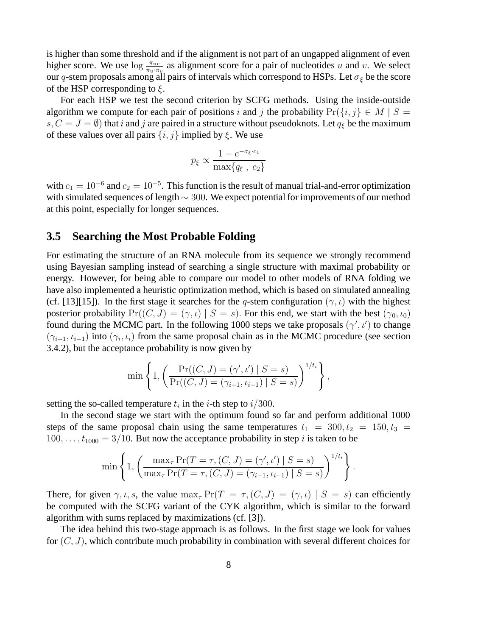is higher than some threshold and if the alignment is not part of an ungapped alignment of even higher score. We use  $\log \frac{\pi_{uv}}{\pi_{uv}}$  as alignment score for a pair of nucleotides u and v. We select our a-stem proposals among all pairs of intervals which correspond to HSPs. Let  $\sigma_{v}$  be the score our q-stem proposals among all pairs of intervals which correspond to HSPs. Let  $\sigma_{\xi}$  be the score of the HSP corresponding to  $\xi$ .

For each HSP we test the second criterion by SCFG methods. Using the inside-outside algorithm we compute for each pair of positions i and j the probability  $Pr({i, j} \in M | S =$  $s, C = J = \emptyset$ ) that i and j are paired in a structure without pseudoknots. Let  $q_{\xi}$  be the maximum of these values over all pairs  $\{i, j\}$  implied by  $\xi$ . We use

$$
p_{\xi} \propto \frac{1 - e^{-\sigma_{\xi} \cdot c_1}}{\max\{q_{\xi}, \ c_2\}}
$$

with  $c_1 = 10^{-6}$  and  $c_2 = 10^{-5}$ . This function is the result of manual trial-and-error optimization with simulated sequences of length  $\sim$  300. We expect potential for improvements of our method at this point, especially for longer sequences.

### **3.5 Searching the Most Probable Folding**

For estimating the structure of an RNA molecule from its sequence we strongly recommend using Bayesian sampling instead of searching a single structure with maximal probability or energy. However, for being able to compare our model to other models of RNA folding we have also implemented a heuristic optimization method, which is based on simulated annealing (cf. [13][15]). In the first stage it searches for the q-stem configuration ( $\gamma$ ,  $\iota$ ) with the highest posterior probability  $Pr((C, J) = (\gamma, \iota) | S = s)$ . For this end, we start with the best  $(\gamma_0, \iota_0)$ found during the MCMC part. In the following 1000 steps we take proposals  $(\gamma', \iota')$  to change<br> $(\gamma, \iota, \iota)$  into  $(\gamma, \iota)$  from the same proposal chain as in the MCMC procedure (see section)  $(\gamma_{i-1}, \iota_{i-1})$  into  $(\gamma_i, \iota_i)$  from the same proposal chain as in the MCMC procedure (see section 3.4.2), but the acceptance probability is now given by

min
$$
\left\{1, \left(\frac{\Pr((C, J) = (\gamma', \iota') \mid S = s)}{\Pr((C, J) = (\gamma_{i-1}, \iota_{i-1}) \mid S = s)}\right)^{1/t_i}\right\},\right\}
$$

setting the so-called temperature  $t_i$  in the *i*-th step to  $i/300$ .

In the second stage we start with the optimum found so far and perform additional 1000 steps of the same proposal chain using the same temperatures  $t_1 = 300, t_2 = 150, t_3 = 150$  $100, \ldots, t_{1000} = 3/10$ . But now the acceptance probability in step *i* is taken to be

$$
\min\left\{1, \left(\frac{\max_{\tau} \Pr(T = \tau, (C, J) = (\gamma', \iota') \mid S = s)}{\max_{\tau} \Pr(T = \tau, (C, J) = (\gamma_{i-1}, \iota_{i-1}) \mid S = s)}\right)^{1/t_i}\right\}.
$$

There, for given  $\gamma, \iota, s$ , the value  $\max_{\tau} \Pr(T = \tau, (C, J) = (\gamma, \iota) | S = s)$  can efficiently be computed with the SCFG variant of the CYK algorithm, which is similar to the forward algorithm with sums replaced by maximizations (cf. [3]).

The idea behind this two-stage approach is as follows. In the first stage we look for values for  $(C, J)$ , which contribute much probability in combination with several different choices for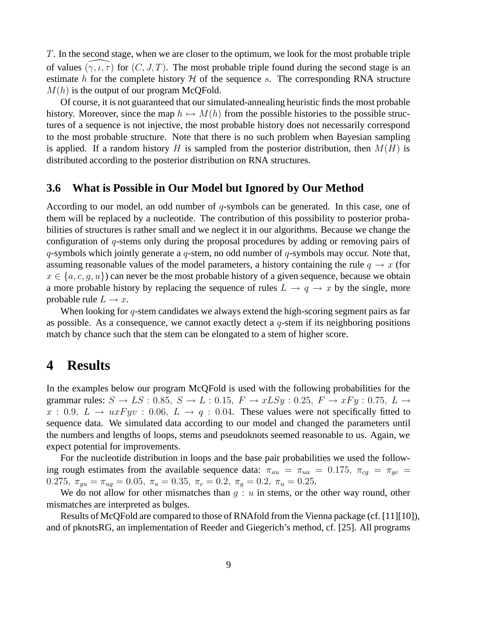T. In the second stage, when we are closer to the optimum, we look for the most probable triple T. In the second<br>of values  $(x, t, \tau)$ <br>estimate *h* for the of values  $(\gamma, \iota, \tau)$  for  $(C, J, T)$ . The most probable triple found during the second stage is an estimate h for the complete history  $H$  of the sequence s. The corresponding RNA structure  $M(h)$  is the output of our program McQFold.

Of course, it is not guaranteed that our simulated-annealing heuristic finds the most probable history. Moreover, since the map  $h \mapsto M(h)$  from the possible histories to the possible structures of a sequence is not injective, the most probable history does not necessarily correspond to the most probable structure. Note that there is no such problem when Bayesian sampling is applied. If a random history H is sampled from the posterior distribution, then  $M(H)$  is distributed according to the posterior distribution on RNA structures.

#### **3.6 What is Possible in Our Model but Ignored by Our Method**

According to our model, an odd number of  $q$ -symbols can be generated. In this case, one of them will be replaced by a nucleotide. The contribution of this possibility to posterior probabilities of structures is rather small and we neglect it in our algorithms. Because we change the configuration of q-stems only during the proposal procedures by adding or removing pairs of  $q$ -symbols which jointly generate a  $q$ -stem, no odd number of  $q$ -symbols may occur. Note that, assuming reasonable values of the model parameters, a history containing the rule  $q \rightarrow x$  (for  $x \in \{a, c, g, u\}$  can never be the most probable history of a given sequence, because we obtain a more probable history by replacing the sequence of rules  $L \rightarrow q \rightarrow x$  by the single, more probable rule  $L \rightarrow x$ .

When looking for  $q$ -stem candidates we always extend the high-scoring segment pairs as far as possible. As a consequence, we cannot exactly detect a  $q$ -stem if its neighboring positions match by chance such that the stem can be elongated to a stem of higher score.

# **4 Results**

In the examples below our program McQFold is used with the following probabilities for the grammar rules:  $S \to LS$ : 0.85,  $S \to L$ : 0.15,  $F \to x L S y$ : 0.25,  $F \to x F y$ : 0.75,  $L \to$  $x: 0.9, L \rightarrow u x F y v : 0.06, L \rightarrow q : 0.04$ . These values were not specifically fitted to sequence data. We simulated data according to our model and changed the parameters until the numbers and lengths of loops, stems and pseudoknots seemed reasonable to us. Again, we expect potential for improvements.

For the nucleotide distribution in loops and the base pair probabilities we used the following rough estimates from the available sequence data:  $\pi_{au} = \pi_{ua} = 0.175$ ,  $\pi_{cg} = \pi_{gc}$ 0.275,  $\pi_{qu} = \pi_{uq} = 0.05$ ,  $\pi_a = 0.35$ ,  $\pi_c = 0.2$ ,  $\pi_q = 0.2$ ,  $\pi_u = 0.25$ .

We do not allow for other mismatches than  $g : u$  in stems, or the other way round, other mismatches are interpreted as bulges.

Results of McQFold are compared to those of RNAfold from the Vienna package (cf. [11][10]), and of pknotsRG, an implementation of Reeder and Giegerich's method, cf. [25]. All programs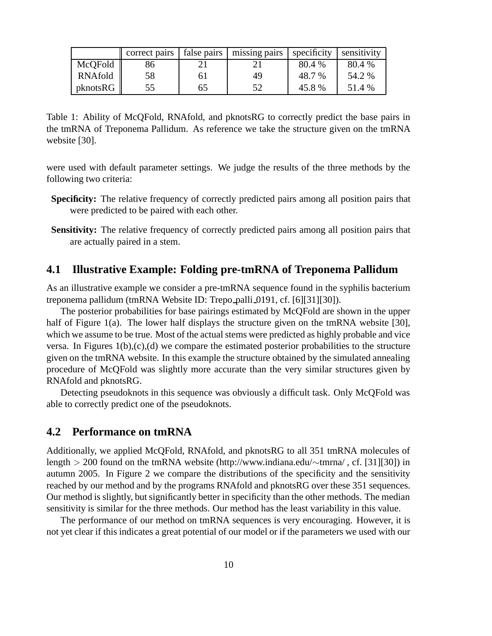|          | correct pairs   false pairs |    | missing pairs | specificity | sensitivity |
|----------|-----------------------------|----|---------------|-------------|-------------|
| McQFold  | 86                          |    |               | 80.4 %      | 80.4 %      |
| RNAfold  | 58                          | 61 | 49            | 48.7 %      | 54.2 %      |
| pknotsRG | 55                          | 65 | 52            | 45.8%       | 51.4 %      |

Table 1: Ability of McQFold, RNAfold, and pknotsRG to correctly predict the base pairs in the tmRNA of Treponema Pallidum. As reference we take the structure given on the tmRNA website [30].

were used with default parameter settings. We judge the results of the three methods by the following two criteria:

- **Specificity:** The relative frequency of correctly predicted pairs among all position pairs that were predicted to be paired with each other.
- **Sensitivity:** The relative frequency of correctly predicted pairs among all position pairs that are actually paired in a stem.

### **4.1 Illustrative Example: Folding pre-tmRNA of Treponema Pallidum**

As an illustrative example we consider a pre-tmRNA sequence found in the syphilis bacterium treponema pallidum (tmRNA Website ID: Trepo palli 0191, cf. [6][31][30]).

The posterior probabilities for base pairings estimated by McQFold are shown in the upper half of Figure 1(a). The lower half displays the structure given on the tmRNA website [30], which we assume to be true. Most of the actual stems were predicted as highly probable and vice versa. In Figures  $1(b),(c),(d)$  we compare the estimated posterior probabilities to the structure given on the tmRNA website. In this example the structure obtained by the simulated annealing procedure of McQFold was slightly more accurate than the very similar structures given by RNAfold and pknotsRG.

Detecting pseudoknots in this sequence was obviously a difficult task. Only McQFold was able to correctly predict one of the pseudoknots.

#### **4.2 Performance on tmRNA**

Additionally, we applied McQFold, RNAfold, and pknotsRG to all 351 tmRNA molecules of length > 200 found on the tmRNA website (http://www.indiana.edu/∼tmrna/ , cf. [31][30]) in autumn 2005. In Figure 2 we compare the distributions of the specificity and the sensitivity reached by our method and by the programs RNAfold and pknotsRG over these 351 sequences. Our method is slightly, but significantly better in specificity than the other methods. The median sensitivity is similar for the three methods. Our method has the least variability in this value.

The performance of our method on tmRNA sequences is very encouraging. However, it is not yet clear if this indicates a great potential of our model or if the parameters we used with our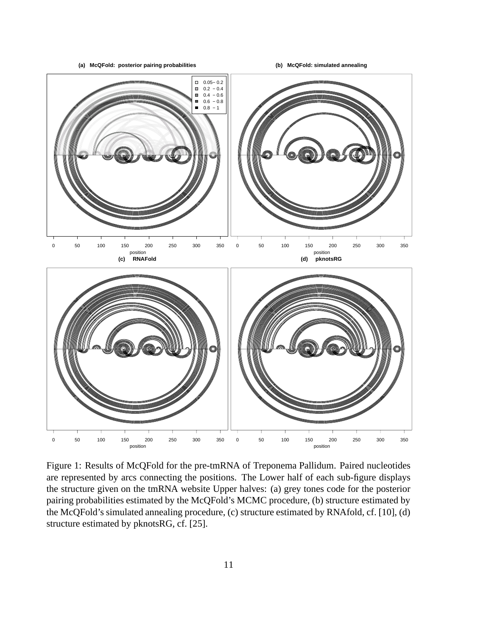**(a) McQFold: posterior pairing probabilities**

**(b) McQFold: simulated annealing**



Figure 1: Results of McQFold for the pre-tmRNA of Treponema Pallidum. Paired nucleotides are represented by arcs connecting the positions. The Lower half of each sub-figure displays the structure given on the tmRNA website Upper halves: (a) grey tones code for the posterior pairing probabilities estimated by the McQFold's MCMC procedure, (b) structure estimated by the McQFold's simulated annealing procedure, (c) structure estimated by RNAfold, cf. [10], (d) structure estimated by pknotsRG, cf. [25].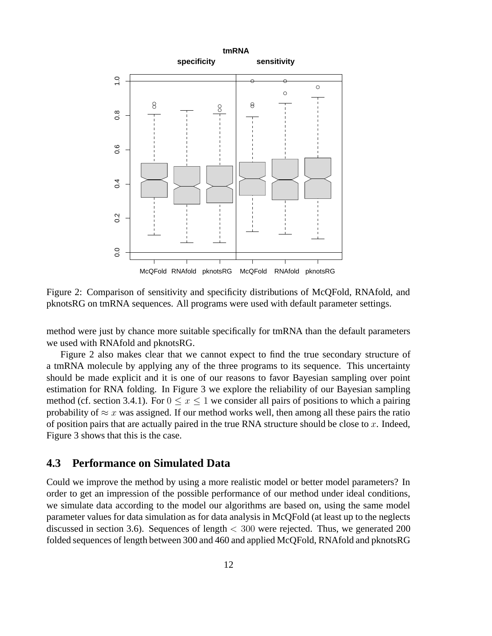

Figure 2: Comparison of sensitivity and specificity distributions of McQFold, RNAfold, and pknotsRG on tmRNA sequences. All programs were used with default parameter settings.

method were just by chance more suitable specifically for tmRNA than the default parameters we used with RNAfold and pknotsRG.

Figure 2 also makes clear that we cannot expect to find the true secondary structure of a tmRNA molecule by applying any of the three programs to its sequence. This uncertainty should be made explicit and it is one of our reasons to favor Bayesian sampling over point estimation for RNA folding. In Figure 3 we explore the reliability of our Bayesian sampling method (cf. section 3.4.1). For  $0 \le x \le 1$  we consider all pairs of positions to which a pairing probability of  $\approx x$  was assigned. If our method works well, then among all these pairs the ratio of position pairs that are actually paired in the true RNA structure should be close to  $x$ . Indeed, Figure 3 shows that this is the case.

### **4.3 Performance on Simulated Data**

Could we improve the method by using a more realistic model or better model parameters? In order to get an impression of the possible performance of our method under ideal conditions, we simulate data according to the model our algorithms are based on, using the same model parameter values for data simulation as for data analysis in McQFold (at least up to the neglects discussed in section 3.6). Sequences of length  $<$  300 were rejected. Thus, we generated 200 folded sequences of length between 300 and 460 and applied McQFold, RNAfold and pknotsRG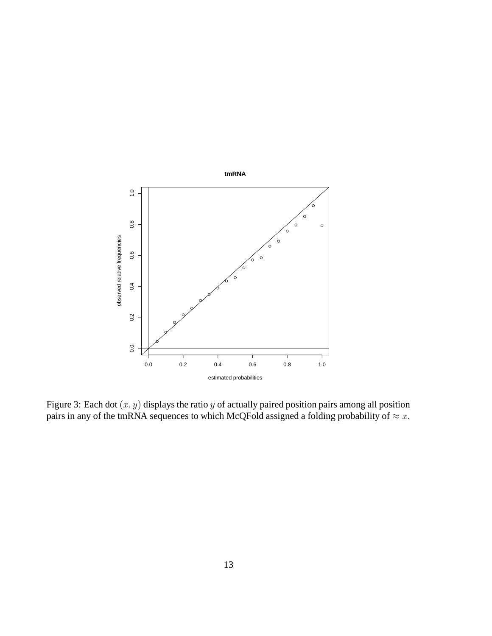

Figure 3: Each dot  $(x, y)$  displays the ratio y of actually paired position pairs among all position pairs in any of the tmRNA sequences to which McQFold assigned a folding probability of  $\approx x$ .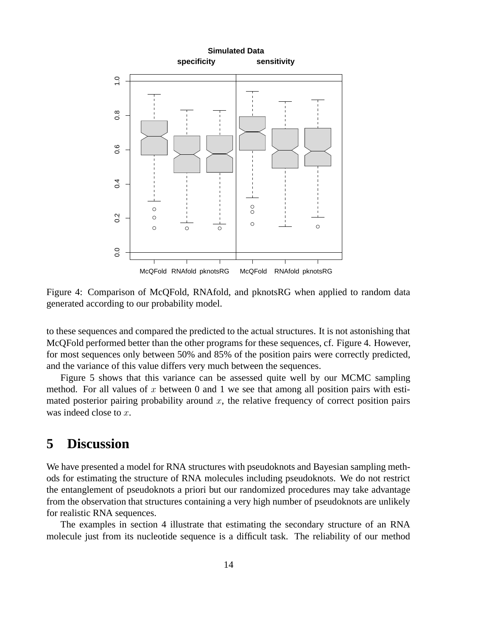

Figure 4: Comparison of McQFold, RNAfold, and pknotsRG when applied to random data generated according to our probability model.

to these sequences and compared the predicted to the actual structures. It is not astonishing that McQFold performed better than the other programs for these sequences, cf. Figure 4. However, for most sequences only between 50% and 85% of the position pairs were correctly predicted, and the variance of this value differs very much between the sequences.

Figure 5 shows that this variance can be assessed quite well by our MCMC sampling method. For all values of x between 0 and 1 we see that among all position pairs with estimated posterior pairing probability around  $x$ , the relative frequency of correct position pairs was indeed close to x.

# **5 Discussion**

We have presented a model for RNA structures with pseudoknots and Bayesian sampling methods for estimating the structure of RNA molecules including pseudoknots. We do not restrict the entanglement of pseudoknots a priori but our randomized procedures may take advantage from the observation that structures containing a very high number of pseudoknots are unlikely for realistic RNA sequences.

The examples in section 4 illustrate that estimating the secondary structure of an RNA molecule just from its nucleotide sequence is a difficult task. The reliability of our method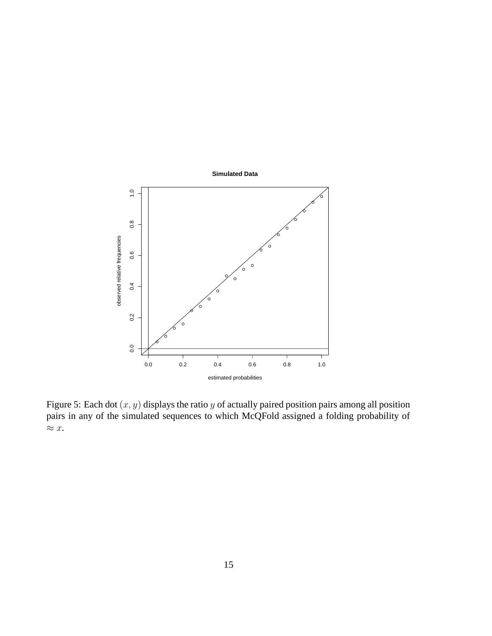

Figure 5: Each dot  $(x, y)$  displays the ratio y of actually paired position pairs among all position pairs in any of the simulated sequences to which McQFold assigned a folding probability of  $\approx x$ .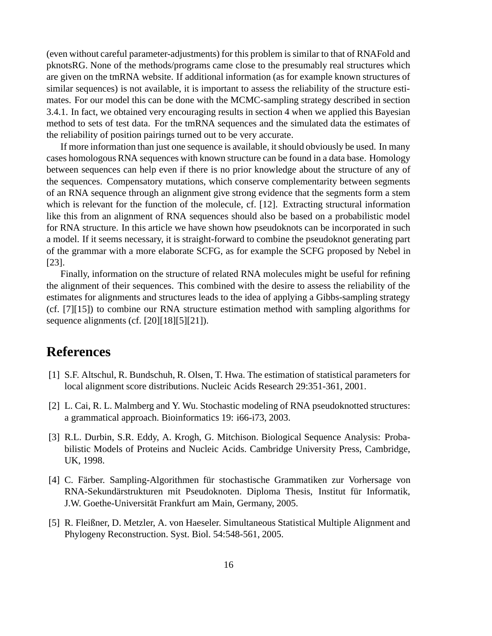(even without careful parameter-adjustments) for this problem is similar to that of RNAFold and pknotsRG. None of the methods/programs came close to the presumably real structures which are given on the tmRNA website. If additional information (as for example known structures of similar sequences) is not available, it is important to assess the reliability of the structure estimates. For our model this can be done with the MCMC-sampling strategy described in section 3.4.1. In fact, we obtained very encouraging results in section 4 when we applied this Bayesian method to sets of test data. For the tmRNA sequences and the simulated data the estimates of the reliability of position pairings turned out to be very accurate.

If more information than just one sequence is available, it should obviously be used. In many cases homologous RNA sequences with known structure can be found in a data base. Homology between sequences can help even if there is no prior knowledge about the structure of any of the sequences. Compensatory mutations, which conserve complementarity between segments of an RNA sequence through an alignment give strong evidence that the segments form a stem which is relevant for the function of the molecule, cf. [12]. Extracting structural information like this from an alignment of RNA sequences should also be based on a probabilistic model for RNA structure. In this article we have shown how pseudoknots can be incorporated in such a model. If it seems necessary, it is straight-forward to combine the pseudoknot generating part of the grammar with a more elaborate SCFG, as for example the SCFG proposed by Nebel in [23].

Finally, information on the structure of related RNA molecules might be useful for refining the alignment of their sequences. This combined with the desire to assess the reliability of the estimates for alignments and structures leads to the idea of applying a Gibbs-sampling strategy (cf. [7][15]) to combine our RNA structure estimation method with sampling algorithms for sequence alignments (cf. [20][18][5][21]).

# **References**

- [1] S.F. Altschul, R. Bundschuh, R. Olsen, T. Hwa. The estimation of statistical parameters for local alignment score distributions. Nucleic Acids Research 29:351-361, 2001.
- [2] L. Cai, R. L. Malmberg and Y. Wu. Stochastic modeling of RNA pseudoknotted structures: a grammatical approach. Bioinformatics 19: i66-i73, 2003.
- [3] R.L. Durbin, S.R. Eddy, A. Krogh, G. Mitchison. Biological Sequence Analysis: Probabilistic Models of Proteins and Nucleic Acids. Cambridge University Press, Cambridge, UK, 1998.
- [4] C. Färber. Sampling-Algorithmen für stochastische Grammatiken zur Vorhersage von RNA-Sekundärstrukturen mit Pseudoknoten. Diploma Thesis, Institut für Informatik, J.W. Goethe-Universität Frankfurt am Main, Germany, 2005.
- [5] R. Fleißner, D. Metzler, A. von Haeseler. Simultaneous Statistical Multiple Alignment and Phylogeny Reconstruction. Syst. Biol. 54:548-561, 2005.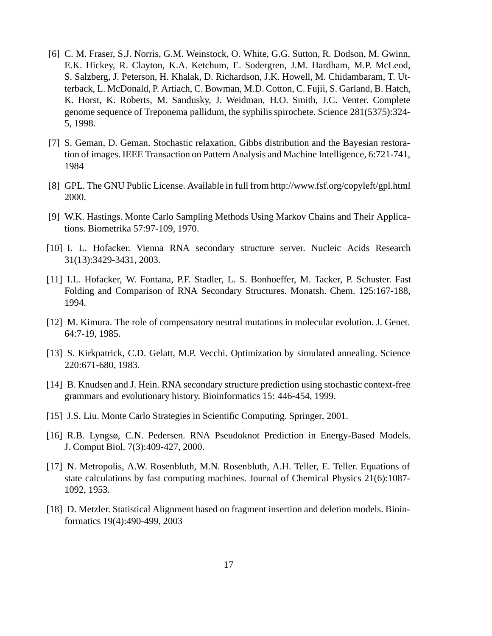- [6] C. M. Fraser, S.J. Norris, G.M. Weinstock, O. White, G.G. Sutton, R. Dodson, M. Gwinn, E.K. Hickey, R. Clayton, K.A. Ketchum, E. Sodergren, J.M. Hardham, M.P. McLeod, S. Salzberg, J. Peterson, H. Khalak, D. Richardson, J.K. Howell, M. Chidambaram, T. Utterback, L. McDonald, P. Artiach, C. Bowman, M.D. Cotton, C. Fujii, S. Garland, B. Hatch, K. Horst, K. Roberts, M. Sandusky, J. Weidman, H.O. Smith, J.C. Venter. Complete genome sequence of Treponema pallidum, the syphilis spirochete. Science 281(5375):324- 5, 1998.
- [7] S. Geman, D. Geman. Stochastic relaxation, Gibbs distribution and the Bayesian restoration of images. IEEE Transaction on Pattern Analysis and Machine Intelligence, 6:721-741, 1984
- [8] GPL. The GNU Public License. Available in full from http://www.fsf.org/copyleft/gpl.html 2000.
- [9] W.K. Hastings. Monte Carlo Sampling Methods Using Markov Chains and Their Applications. Biometrika 57:97-109, 1970.
- [10] I. L. Hofacker. Vienna RNA secondary structure server. Nucleic Acids Research 31(13):3429-3431, 2003.
- [11] I.L. Hofacker, W. Fontana, P.F. Stadler, L. S. Bonhoeffer, M. Tacker, P. Schuster. Fast Folding and Comparison of RNA Secondary Structures. Monatsh. Chem. 125:167-188, 1994.
- [12] M. Kimura. The role of compensatory neutral mutations in molecular evolution. J. Genet. 64:7-19, 1985.
- [13] S. Kirkpatrick, C.D. Gelatt, M.P. Vecchi. Optimization by simulated annealing. Science 220:671-680, 1983.
- [14] B. Knudsen and J. Hein. RNA secondary structure prediction using stochastic context-free grammars and evolutionary history. Bioinformatics 15: 446-454, 1999.
- [15] J.S. Liu. Monte Carlo Strategies in Scientific Computing. Springer, 2001.
- [16] R.B. Lyngsø, C.N. Pedersen. RNA Pseudoknot Prediction in Energy-Based Models. J. Comput Biol. 7(3):409-427, 2000.
- [17] N. Metropolis, A.W. Rosenbluth, M.N. Rosenbluth, A.H. Teller, E. Teller. Equations of state calculations by fast computing machines. Journal of Chemical Physics 21(6):1087- 1092, 1953.
- [18] D. Metzler. Statistical Alignment based on fragment insertion and deletion models. Bioinformatics 19(4):490-499, 2003